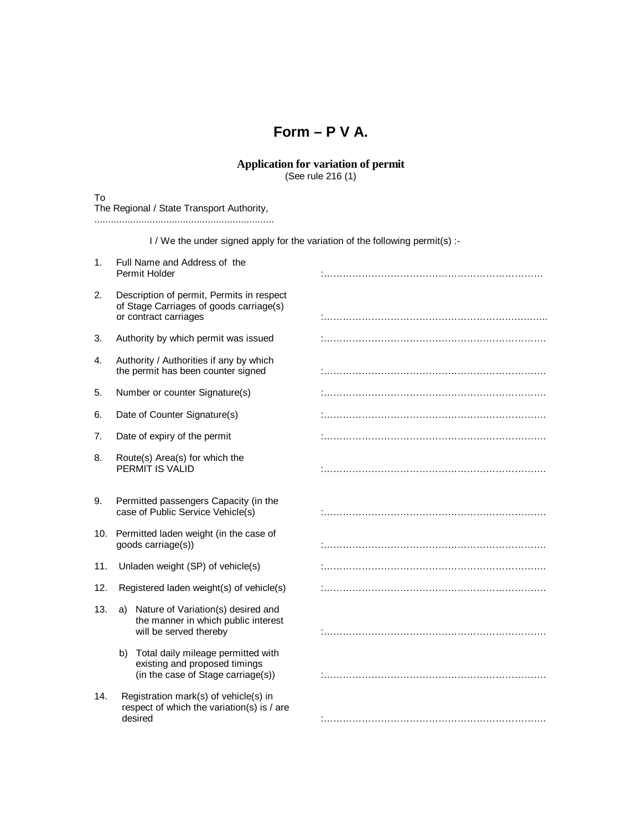## **Form – P V A.**

## **Application for variation of permit** (See rule 216 (1)

To

| The Regional / State Transport Authority,                                     |                                                                                                               |  |  |
|-------------------------------------------------------------------------------|---------------------------------------------------------------------------------------------------------------|--|--|
| I / We the under signed apply for the variation of the following permit(s) :- |                                                                                                               |  |  |
| 1 <sub>1</sub>                                                                | Full Name and Address of the<br>Permit Holder                                                                 |  |  |
| 2.                                                                            | Description of permit, Permits in respect<br>of Stage Carriages of goods carriage(s)<br>or contract carriages |  |  |
| 3.                                                                            | Authority by which permit was issued                                                                          |  |  |
| 4.                                                                            | Authority / Authorities if any by which<br>the permit has been counter signed                                 |  |  |
| 5.                                                                            | Number or counter Signature(s)                                                                                |  |  |
| 6.                                                                            | Date of Counter Signature(s)                                                                                  |  |  |
| 7.                                                                            | Date of expiry of the permit                                                                                  |  |  |
| 8.                                                                            | Route(s) Area(s) for which the<br>PERMIT IS VALID                                                             |  |  |
| 9.                                                                            | Permitted passengers Capacity (in the<br>case of Public Service Vehicle(s)                                    |  |  |
| 10.                                                                           | Permitted laden weight (in the case of<br>goods carriage(s))                                                  |  |  |
| 11.                                                                           | Unladen weight (SP) of vehicle(s)                                                                             |  |  |
| 12.                                                                           | Registered laden weight(s) of vehicle(s)                                                                      |  |  |
| 13.                                                                           | a) Nature of Variation(s) desired and<br>the manner in which public interest<br>will be served thereby        |  |  |
|                                                                               | b) Total daily mileage permitted with<br>existing and proposed timings<br>(in the case of Stage carriage(s))  |  |  |
| 14.                                                                           | Registration mark(s) of vehicle(s) in<br>respect of which the variation(s) is / are<br>desired                |  |  |